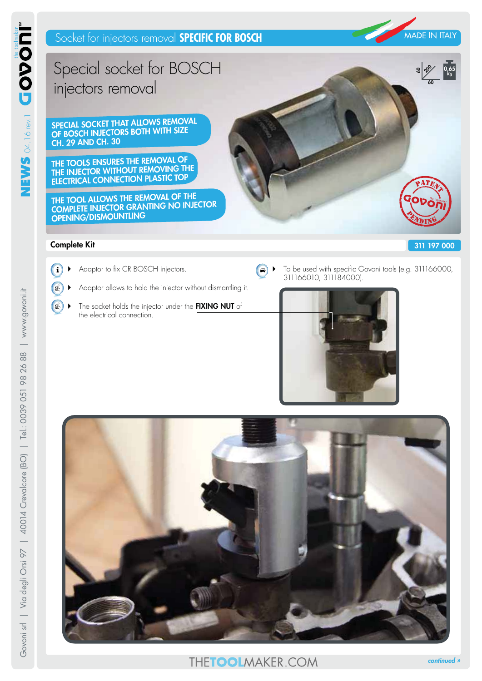

**60** <u>နေ့</u>

**0,65 Kg**

# Special socket for BOSCH injectors removal

**SPECIAL SOCKET THAT ALLOWS REMOVAL OF BOSCH INJECTORS BOTH WITH SIZE CH. 29 AND CH. 30**

**THE TOOLS ENSURES THE REMOVAL OF THE INJECTOR WITHOUT REMOVING THE ELECTRICAL CONNECTION PLASTIC TOP**

**THE TOOL ALLOWS THE REMOVAL OF THE COMPLETE INJECTOR GRANTING NO INJECTOR OPENING/DISMOUNTLING**

#### **311 197 000**

### **Complete Kit**

- $Q_L$
- 1 Adaptor to fix CR BOSCH injectors.
	- Adaptor allows to hold the injector without dismantling it.
	- $Q$ The socket holds the injector under the **FIXING NUT** of the electrical connection.
- $\blacktriangleright$  To be used with specific Govoni tools (e.g. 311166000,  $\bullet$ 311166010, 311184000).